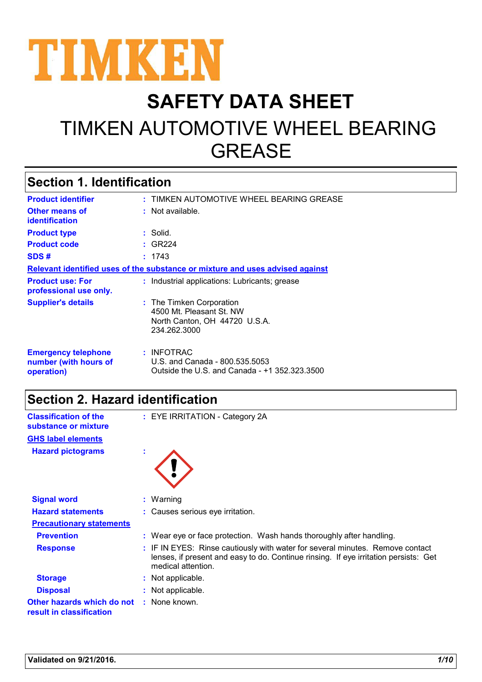

# **SAFETY DATA SHEET** TIMKEN AUTOMOTIVE WHEEL BEARING GREASE

## **Section 1. Identification**

| <b>Product identifier</b>                                         | : TIMKEN AUTOMOTIVE WHEEL BEARING GREASE                                                              |
|-------------------------------------------------------------------|-------------------------------------------------------------------------------------------------------|
| <b>Other means of</b><br><b>identification</b>                    | $:$ Not available.                                                                                    |
| <b>Product type</b>                                               | : Solid.                                                                                              |
| <b>Product code</b>                                               | $\div$ GR224                                                                                          |
| SDS#                                                              | : 1743                                                                                                |
|                                                                   | Relevant identified uses of the substance or mixture and uses advised against                         |
| <b>Product use: For</b><br>professional use only.                 | : Industrial applications: Lubricants; grease                                                         |
| <b>Supplier's details</b>                                         | : The Timken Corporation<br>4500 Mt. Pleasant St. NW<br>North Canton, OH 44720 U.S.A.<br>234.262.3000 |
| <b>Emergency telephone</b><br>number (with hours of<br>operation) | $:$ INFOTRAC<br>U.S. and Canada - 800.535.5053<br>Outside the U.S. and Canada - +1 352.323.3500       |

## **Section 2. Hazard identification**

| <b>Classification of the</b><br>substance or mixture   |                | : EYE IRRITATION - Category 2A                                                                                                                                                              |
|--------------------------------------------------------|----------------|---------------------------------------------------------------------------------------------------------------------------------------------------------------------------------------------|
| <b>GHS label elements</b>                              |                |                                                                                                                                                                                             |
| <b>Hazard pictograms</b>                               | $\mathbf{u}$ . |                                                                                                                                                                                             |
| <b>Signal word</b>                                     |                | $:$ Warning                                                                                                                                                                                 |
| <b>Hazard statements</b>                               |                | : Causes serious eye irritation.                                                                                                                                                            |
| <b>Precautionary statements</b>                        |                |                                                                                                                                                                                             |
| <b>Prevention</b>                                      |                | : Wear eye or face protection. Wash hands thoroughly after handling.                                                                                                                        |
| <b>Response</b>                                        |                | : IF IN EYES: Rinse cautiously with water for several minutes. Remove contact<br>lenses, if present and easy to do. Continue rinsing. If eye irritation persists: Get<br>medical attention. |
| <b>Storage</b>                                         |                | : Not applicable.                                                                                                                                                                           |
| <b>Disposal</b>                                        |                | : Not applicable.                                                                                                                                                                           |
| Other hazards which do not<br>result in classification |                | : None known.                                                                                                                                                                               |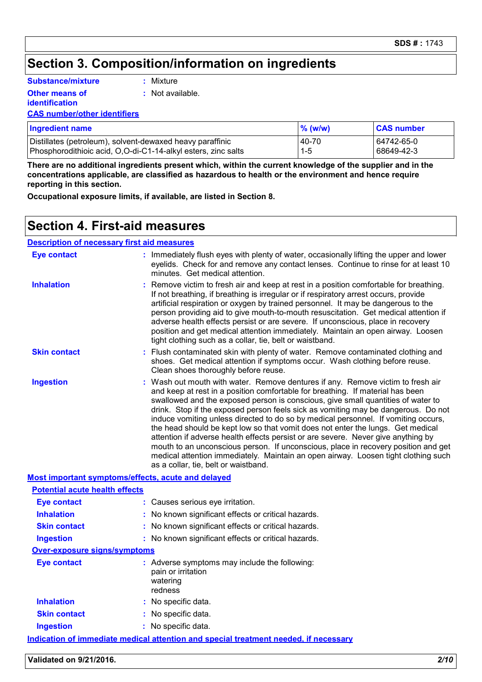## **Section 3. Composition/information on ingredients**

**Substance/mixture**

**Other means of** 

**:** Mixture

**:** Not available.

**identification**

**CAS number/other identifiers**

| <b>Ingredient name</b>                                        | $%$ (w/w) | <b>CAS number</b> |
|---------------------------------------------------------------|-----------|-------------------|
| Distillates (petroleum), solvent-dewaxed heavy paraffinic     | 40-70     | 64742-65-0        |
| Phosphorodithioic acid, O,O-di-C1-14-alkyl esters, zinc salts | $1 - 5$   | 68649-42-3        |

**There are no additional ingredients present which, within the current knowledge of the supplier and in the concentrations applicable, are classified as hazardous to health or the environment and hence require reporting in this section.**

**Occupational exposure limits, if available, are listed in Section 8.**

#### **Section 4. First-aid measures**

#### **Description of necessary first aid measures**

| <b>Eye contact</b>                                 |  | : Immediately flush eyes with plenty of water, occasionally lifting the upper and lower<br>eyelids. Check for and remove any contact lenses. Continue to rinse for at least 10<br>minutes. Get medical attention.                                                                                                                                                                                                                                                                                                                                                                                                                                                                                                                                                                                                          |  |  |
|----------------------------------------------------|--|----------------------------------------------------------------------------------------------------------------------------------------------------------------------------------------------------------------------------------------------------------------------------------------------------------------------------------------------------------------------------------------------------------------------------------------------------------------------------------------------------------------------------------------------------------------------------------------------------------------------------------------------------------------------------------------------------------------------------------------------------------------------------------------------------------------------------|--|--|
| <b>Inhalation</b>                                  |  | Remove victim to fresh air and keep at rest in a position comfortable for breathing.<br>If not breathing, if breathing is irregular or if respiratory arrest occurs, provide<br>artificial respiration or oxygen by trained personnel. It may be dangerous to the<br>person providing aid to give mouth-to-mouth resuscitation. Get medical attention if<br>adverse health effects persist or are severe. If unconscious, place in recovery<br>position and get medical attention immediately. Maintain an open airway. Loosen<br>tight clothing such as a collar, tie, belt or waistband.                                                                                                                                                                                                                                 |  |  |
| <b>Skin contact</b>                                |  | Flush contaminated skin with plenty of water. Remove contaminated clothing and<br>shoes. Get medical attention if symptoms occur. Wash clothing before reuse.<br>Clean shoes thoroughly before reuse.                                                                                                                                                                                                                                                                                                                                                                                                                                                                                                                                                                                                                      |  |  |
| <b>Ingestion</b>                                   |  | Wash out mouth with water. Remove dentures if any. Remove victim to fresh air<br>and keep at rest in a position comfortable for breathing. If material has been<br>swallowed and the exposed person is conscious, give small quantities of water to<br>drink. Stop if the exposed person feels sick as vomiting may be dangerous. Do not<br>induce vomiting unless directed to do so by medical personnel. If vomiting occurs,<br>the head should be kept low so that vomit does not enter the lungs. Get medical<br>attention if adverse health effects persist or are severe. Never give anything by<br>mouth to an unconscious person. If unconscious, place in recovery position and get<br>medical attention immediately. Maintain an open airway. Loosen tight clothing such<br>as a collar, tie, belt or waistband. |  |  |
| Most important symptoms/effects, acute and delayed |  |                                                                                                                                                                                                                                                                                                                                                                                                                                                                                                                                                                                                                                                                                                                                                                                                                            |  |  |
| <b>Potential acute health effects</b>              |  |                                                                                                                                                                                                                                                                                                                                                                                                                                                                                                                                                                                                                                                                                                                                                                                                                            |  |  |
| <b>Eye contact</b>                                 |  | : Causes serious eye irritation.                                                                                                                                                                                                                                                                                                                                                                                                                                                                                                                                                                                                                                                                                                                                                                                           |  |  |
| <b>Inhalation</b>                                  |  | No known significant effects or critical hazards.                                                                                                                                                                                                                                                                                                                                                                                                                                                                                                                                                                                                                                                                                                                                                                          |  |  |
| <b>Skin contact</b>                                |  | : No known significant effects or critical hazards.                                                                                                                                                                                                                                                                                                                                                                                                                                                                                                                                                                                                                                                                                                                                                                        |  |  |
| <b>Ingestion</b>                                   |  | : No known significant effects or critical hazards.                                                                                                                                                                                                                                                                                                                                                                                                                                                                                                                                                                                                                                                                                                                                                                        |  |  |
| <b>Over-exposure signs/symptoms</b>                |  |                                                                                                                                                                                                                                                                                                                                                                                                                                                                                                                                                                                                                                                                                                                                                                                                                            |  |  |
| <b>Eye contact</b>                                 |  | : Adverse symptoms may include the following:<br>pain or irritation<br>watering<br>redness                                                                                                                                                                                                                                                                                                                                                                                                                                                                                                                                                                                                                                                                                                                                 |  |  |
| <b>Inhalation</b>                                  |  | : No specific data.                                                                                                                                                                                                                                                                                                                                                                                                                                                                                                                                                                                                                                                                                                                                                                                                        |  |  |
| <b>Skin contact</b>                                |  | : No specific data.                                                                                                                                                                                                                                                                                                                                                                                                                                                                                                                                                                                                                                                                                                                                                                                                        |  |  |
| <b>Ingestion</b>                                   |  | : No specific data.                                                                                                                                                                                                                                                                                                                                                                                                                                                                                                                                                                                                                                                                                                                                                                                                        |  |  |
|                                                    |  | <u>Indication of immediate medical attention and special treatment needed, if necessary</u>                                                                                                                                                                                                                                                                                                                                                                                                                                                                                                                                                                                                                                                                                                                                |  |  |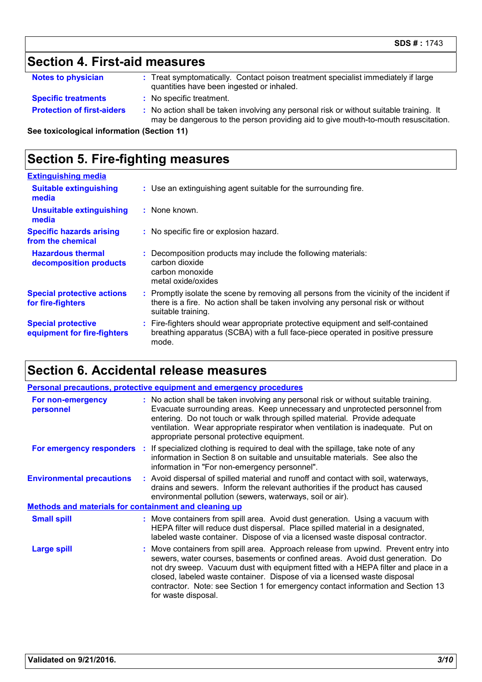## **Section 4. First-aid measures**

| <b>Notes to physician</b> | Treat symptomatically. Contact poison treatment specialist immediately if large |
|---------------------------|---------------------------------------------------------------------------------|
|                           | quantities have been ingested or inhaled.                                       |

- **Specific treatments :** No specific treatment.
- **Protection of first-aiders** : No action shall be taken involving any personal risk or without suitable training. It may be dangerous to the person providing aid to give mouth-to-mouth resuscitation.

**See toxicological information (Section 11)**

### **Section 5. Fire-fighting measures**

| : Use an extinguishing agent suitable for the surrounding fire.                                                                                                                                     |
|-----------------------------------------------------------------------------------------------------------------------------------------------------------------------------------------------------|
| $:$ None known.                                                                                                                                                                                     |
| : No specific fire or explosion hazard.                                                                                                                                                             |
| Decomposition products may include the following materials:<br>carbon dioxide<br>carbon monoxide<br>metal oxide/oxides                                                                              |
| : Promptly isolate the scene by removing all persons from the vicinity of the incident if<br>there is a fire. No action shall be taken involving any personal risk or without<br>suitable training. |
| : Fire-fighters should wear appropriate protective equipment and self-contained<br>breathing apparatus (SCBA) with a full face-piece operated in positive pressure<br>mode.                         |
|                                                                                                                                                                                                     |

## **Section 6. Accidental release measures**

|                                                       |  | <b>Personal precautions, protective equipment and emergency procedures</b>                                                                                                                                                                                                                                                                                                                                                                         |  |
|-------------------------------------------------------|--|----------------------------------------------------------------------------------------------------------------------------------------------------------------------------------------------------------------------------------------------------------------------------------------------------------------------------------------------------------------------------------------------------------------------------------------------------|--|
| For non-emergency<br>personnel                        |  | : No action shall be taken involving any personal risk or without suitable training.<br>Evacuate surrounding areas. Keep unnecessary and unprotected personnel from<br>entering. Do not touch or walk through spilled material. Provide adequate<br>ventilation. Wear appropriate respirator when ventilation is inadequate. Put on<br>appropriate personal protective equipment.                                                                  |  |
|                                                       |  | <b>For emergency responders</b> : If specialized clothing is required to deal with the spillage, take note of any<br>information in Section 8 on suitable and unsuitable materials. See also the<br>information in "For non-emergency personnel".                                                                                                                                                                                                  |  |
| <b>Environmental precautions</b>                      |  | : Avoid dispersal of spilled material and runoff and contact with soil, waterways,<br>drains and sewers. Inform the relevant authorities if the product has caused<br>environmental pollution (sewers, waterways, soil or air).                                                                                                                                                                                                                    |  |
| Methods and materials for containment and cleaning up |  |                                                                                                                                                                                                                                                                                                                                                                                                                                                    |  |
| <b>Small spill</b>                                    |  | : Move containers from spill area. Avoid dust generation. Using a vacuum with<br>HEPA filter will reduce dust dispersal. Place spilled material in a designated,<br>labeled waste container. Dispose of via a licensed waste disposal contractor.                                                                                                                                                                                                  |  |
| <b>Large spill</b>                                    |  | : Move containers from spill area. Approach release from upwind. Prevent entry into<br>sewers, water courses, basements or confined areas. Avoid dust generation. Do<br>not dry sweep. Vacuum dust with equipment fitted with a HEPA filter and place in a<br>closed, labeled waste container. Dispose of via a licensed waste disposal<br>contractor. Note: see Section 1 for emergency contact information and Section 13<br>for waste disposal. |  |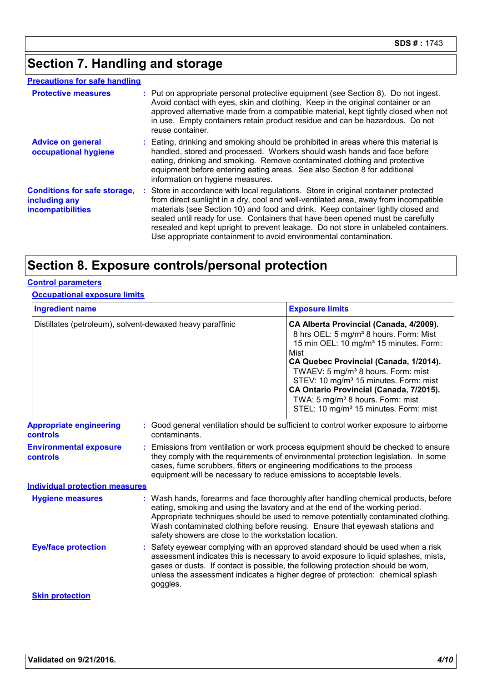## **Section 7. Handling and storage**

#### **Precautions for safe handling**

| <b>Protective measures</b>                                                       | : Put on appropriate personal protective equipment (see Section 8). Do not ingest.<br>Avoid contact with eyes, skin and clothing. Keep in the original container or an<br>approved alternative made from a compatible material, kept tightly closed when not<br>in use. Empty containers retain product residue and can be hazardous. Do not<br>reuse container.                                                                                                                                              |
|----------------------------------------------------------------------------------|---------------------------------------------------------------------------------------------------------------------------------------------------------------------------------------------------------------------------------------------------------------------------------------------------------------------------------------------------------------------------------------------------------------------------------------------------------------------------------------------------------------|
| <b>Advice on general</b><br>occupational hygiene                                 | : Eating, drinking and smoking should be prohibited in areas where this material is<br>handled, stored and processed. Workers should wash hands and face before<br>eating, drinking and smoking. Remove contaminated clothing and protective<br>equipment before entering eating areas. See also Section 8 for additional<br>information on hygiene measures.                                                                                                                                                 |
| <b>Conditions for safe storage,</b><br>including any<br><b>incompatibilities</b> | : Store in accordance with local regulations. Store in original container protected<br>from direct sunlight in a dry, cool and well-ventilated area, away from incompatible<br>materials (see Section 10) and food and drink. Keep container tightly closed and<br>sealed until ready for use. Containers that have been opened must be carefully<br>resealed and kept upright to prevent leakage. Do not store in unlabeled containers.<br>Use appropriate containment to avoid environmental contamination. |

## **Section 8. Exposure controls/personal protection**

#### **Control parameters**

#### **Occupational exposure limits**

| <b>Ingredient name</b>                     |                                                           | <b>Exposure limits</b>                                                                                                                                                                                                                                                                                                                                                                                                                                       |
|--------------------------------------------|-----------------------------------------------------------|--------------------------------------------------------------------------------------------------------------------------------------------------------------------------------------------------------------------------------------------------------------------------------------------------------------------------------------------------------------------------------------------------------------------------------------------------------------|
|                                            | Distillates (petroleum), solvent-dewaxed heavy paraffinic | CA Alberta Provincial (Canada, 4/2009).<br>8 hrs OEL: 5 mg/m <sup>3</sup> 8 hours. Form: Mist<br>15 min OEL: 10 mg/m <sup>3</sup> 15 minutes. Form:<br>Mist<br>CA Quebec Provincial (Canada, 1/2014).<br>TWAEV: 5 mg/m <sup>3</sup> 8 hours. Form: mist<br>STEV: 10 mg/m <sup>3</sup> 15 minutes. Form: mist<br>CA Ontario Provincial (Canada, 7/2015).<br>TWA: 5 mg/m <sup>3</sup> 8 hours. Form: mist<br>STEL: 10 mg/m <sup>3</sup> 15 minutes. Form: mist |
| <b>Appropriate engineering</b><br>controls | contaminants.                                             | : Good general ventilation should be sufficient to control worker exposure to airborne                                                                                                                                                                                                                                                                                                                                                                       |
| <b>Environmental exposure</b><br>controls  |                                                           | : Emissions from ventilation or work process equipment should be checked to ensure<br>they comply with the requirements of environmental protection legislation. In some<br>cases, fume scrubbers, filters or engineering modifications to the process<br>equipment will be necessary to reduce emissions to acceptable levels.                                                                                                                              |
| <b>Individual protection measures</b>      |                                                           |                                                                                                                                                                                                                                                                                                                                                                                                                                                              |
| <b>Hygiene measures</b>                    | safety showers are close to the workstation location.     | : Wash hands, forearms and face thoroughly after handling chemical products, before<br>eating, smoking and using the lavatory and at the end of the working period.<br>Appropriate techniques should be used to remove potentially contaminated clothing.<br>Wash contaminated clothing before reusing. Ensure that eyewash stations and                                                                                                                     |
| <b>Eye/face protection</b>                 |                                                           | : Safety eyewear complying with an approved standard should be used when a risk<br>assessment indicates this is necessary to avoid exposure to liquid splashes, mists,<br>gases or dusts. If contact is possible, the following protection should be worn,<br>unless the assessment indicates a higher degree of protection: chemical splash                                                                                                                 |
|                                            | goggles.                                                  |                                                                                                                                                                                                                                                                                                                                                                                                                                                              |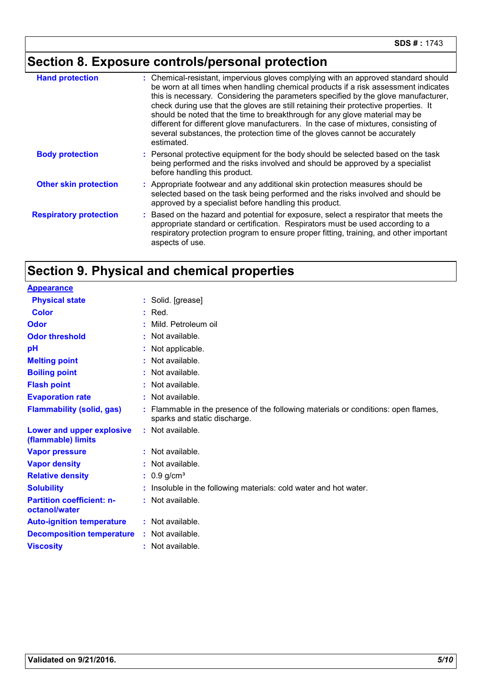# **Section 8. Exposure controls/personal protection**

| <b>Hand protection</b>        | : Chemical-resistant, impervious gloves complying with an approved standard should<br>be worn at all times when handling chemical products if a risk assessment indicates<br>this is necessary. Considering the parameters specified by the glove manufacturer,<br>check during use that the gloves are still retaining their protective properties. It<br>should be noted that the time to breakthrough for any glove material may be<br>different for different glove manufacturers. In the case of mixtures, consisting of<br>several substances, the protection time of the gloves cannot be accurately<br>estimated. |
|-------------------------------|---------------------------------------------------------------------------------------------------------------------------------------------------------------------------------------------------------------------------------------------------------------------------------------------------------------------------------------------------------------------------------------------------------------------------------------------------------------------------------------------------------------------------------------------------------------------------------------------------------------------------|
| <b>Body protection</b>        | : Personal protective equipment for the body should be selected based on the task<br>being performed and the risks involved and should be approved by a specialist<br>before handling this product.                                                                                                                                                                                                                                                                                                                                                                                                                       |
| <b>Other skin protection</b>  | : Appropriate footwear and any additional skin protection measures should be<br>selected based on the task being performed and the risks involved and should be<br>approved by a specialist before handling this product.                                                                                                                                                                                                                                                                                                                                                                                                 |
| <b>Respiratory protection</b> | Based on the hazard and potential for exposure, select a respirator that meets the<br>appropriate standard or certification. Respirators must be used according to a<br>respiratory protection program to ensure proper fitting, training, and other important<br>aspects of use.                                                                                                                                                                                                                                                                                                                                         |

## **Section 9. Physical and chemical properties**

| <b>Appearance</b>                                 |                                                                                                                  |
|---------------------------------------------------|------------------------------------------------------------------------------------------------------------------|
| <b>Physical state</b>                             | : Solid. [grease]                                                                                                |
| <b>Color</b>                                      | $:$ Red.                                                                                                         |
| Odor                                              | Mild. Petroleum oil                                                                                              |
| <b>Odor threshold</b>                             | : Not available.                                                                                                 |
| pH                                                | Not applicable.                                                                                                  |
| <b>Melting point</b>                              | : Not available.                                                                                                 |
| <b>Boiling point</b>                              | Not available.                                                                                                   |
| <b>Flash point</b>                                | Not available.                                                                                                   |
| <b>Evaporation rate</b>                           | : Not available.                                                                                                 |
| <b>Flammability (solid, gas)</b>                  | Flammable in the presence of the following materials or conditions: open flames,<br>sparks and static discharge. |
| Lower and upper explosive<br>(flammable) limits   | : Not available.                                                                                                 |
| <b>Vapor pressure</b>                             | : Not available.                                                                                                 |
| <b>Vapor density</b>                              | Not available.                                                                                                   |
| <b>Relative density</b>                           | : $0.9$ g/cm <sup>3</sup>                                                                                        |
| <b>Solubility</b>                                 | Insoluble in the following materials: cold water and hot water.                                                  |
| <b>Partition coefficient: n-</b><br>octanol/water | : Not available.                                                                                                 |
| <b>Auto-ignition temperature</b>                  | $:$ Not available.                                                                                               |
| <b>Decomposition temperature</b>                  | : Not available.                                                                                                 |
| <b>Viscosity</b>                                  | : Not available.                                                                                                 |
|                                                   |                                                                                                                  |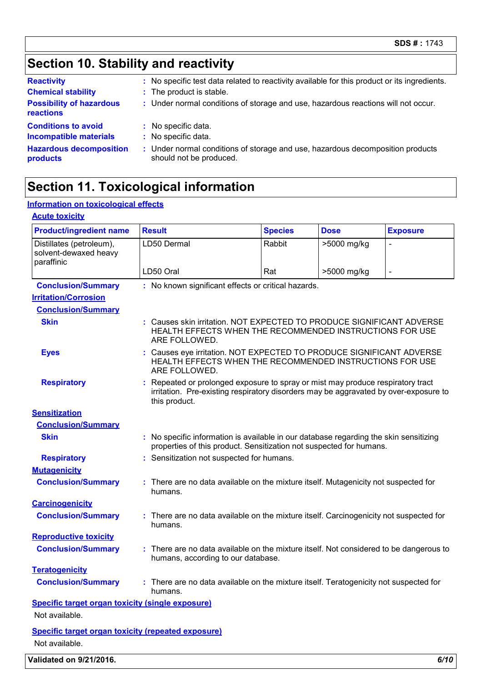## **Section 10. Stability and reactivity**

| <b>Reactivity</b><br><b>Chemical stability</b><br><b>Possibility of hazardous</b><br>reactions | : No specific test data related to reactivity available for this product or its ingredients.<br>: The product is stable.<br>: Under normal conditions of storage and use, hazardous reactions will not occur. |
|------------------------------------------------------------------------------------------------|---------------------------------------------------------------------------------------------------------------------------------------------------------------------------------------------------------------|
| <b>Conditions to avoid</b>                                                                     | : No specific data.                                                                                                                                                                                           |
| <b>Incompatible materials</b>                                                                  | : No specific data.                                                                                                                                                                                           |
| <b>Hazardous decomposition</b>                                                                 | : Under normal conditions of storage and use, hazardous decomposition products                                                                                                                                |
| products                                                                                       | should not be produced.                                                                                                                                                                                       |

### **Section 11. Toxicological information**

#### **Information on toxicological effects**

#### **Acute toxicity** Distillates (petroleum), solvent-dewaxed heavy paraffinic LD50 Dermal Rabbit |>5000 mg/kg LD50 Oral  $\vert$ Rat  $\vert$  >5000 mg/kg **Product/ingredient name** Result **Species Dose Exposure Conclusion/Summary :** No known significant effects or critical hazards. **Carcinogenicity Conclusion/Summary :** There are no data available on the mixture itself. Carcinogenicity not suspected for humans. **Mutagenicity Conclusion/Summary :** There are no data available on the mixture itself. Mutagenicity not suspected for humans. **Teratogenicity Conclusion/Summary :** There are no data available on the mixture itself. Teratogenicity not suspected for humans. **Reproductive toxicity Conclusion/Summary :** There are no data available on the mixture itself. Not considered to be dangerous to humans, according to our database. **Irritation/Corrosion Conclusion/Summary Skin :** Causes skin irritation. NOT EXPECTED TO PRODUCE SIGNIFICANT ADVERSE HEALTH EFFECTS WHEN THE RECOMMENDED INSTRUCTIONS FOR USE ARE FOLLOWED. **Eyes :** Causes eye irritation. NOT EXPECTED TO PRODUCE SIGNIFICANT ADVERSE HEALTH EFFECTS WHEN THE RECOMMENDED INSTRUCTIONS FOR USE ARE FOLLOWED. **Respiratory <b>:** Repeated or prolonged exposure to spray or mist may produce respiratory tract irritation. Pre-existing respiratory disorders may be aggravated by over-exposure to this product. **Sensitization Conclusion/Summary Skin Example 20 :** No specific information is available in our database regarding the skin sensitizing properties of this product. Sensitization not suspected for humans. **Respiratory :** Sensitization not suspected for humans. **Specific target organ toxicity (single exposure) Specific target organ toxicity (repeated exposure)** Not available.

**Validated on 9/21/2016.** *6/10*

Not available.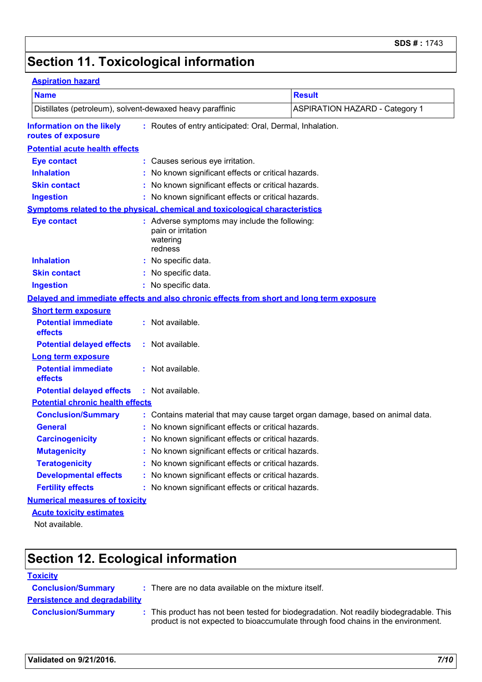# **Section 11. Toxicological information**

#### **Aspiration hazard**

| <b>Name</b>                                                                                                        |  |                                                                                            | <b>Result</b>                         |  |  |  |
|--------------------------------------------------------------------------------------------------------------------|--|--------------------------------------------------------------------------------------------|---------------------------------------|--|--|--|
| Distillates (petroleum), solvent-dewaxed heavy paraffinic                                                          |  |                                                                                            | <b>ASPIRATION HAZARD - Category 1</b> |  |  |  |
| <b>Information on the likely</b><br>: Routes of entry anticipated: Oral, Dermal, Inhalation.<br>routes of exposure |  |                                                                                            |                                       |  |  |  |
| <b>Potential acute health effects</b>                                                                              |  |                                                                                            |                                       |  |  |  |
| <b>Eye contact</b>                                                                                                 |  | : Causes serious eye irritation.                                                           |                                       |  |  |  |
| <b>Inhalation</b>                                                                                                  |  | No known significant effects or critical hazards.                                          |                                       |  |  |  |
| <b>Skin contact</b>                                                                                                |  | No known significant effects or critical hazards.                                          |                                       |  |  |  |
| <b>Ingestion</b>                                                                                                   |  | No known significant effects or critical hazards.                                          |                                       |  |  |  |
| Symptoms related to the physical, chemical and toxicological characteristics                                       |  |                                                                                            |                                       |  |  |  |
| <b>Eye contact</b>                                                                                                 |  | : Adverse symptoms may include the following:<br>pain or irritation<br>watering<br>redness |                                       |  |  |  |
| <b>Inhalation</b>                                                                                                  |  | : No specific data.                                                                        |                                       |  |  |  |
| <b>Skin contact</b>                                                                                                |  | : No specific data.                                                                        |                                       |  |  |  |
| <b>Ingestion</b>                                                                                                   |  | : No specific data.                                                                        |                                       |  |  |  |
|                                                                                                                    |  | Delayed and immediate effects and also chronic effects from short and long term exposure   |                                       |  |  |  |
| <b>Short term exposure</b>                                                                                         |  |                                                                                            |                                       |  |  |  |
| <b>Potential immediate</b><br>effects                                                                              |  | : Not available.                                                                           |                                       |  |  |  |
| <b>Potential delayed effects</b>                                                                                   |  | : Not available.                                                                           |                                       |  |  |  |
| <b>Long term exposure</b>                                                                                          |  |                                                                                            |                                       |  |  |  |
| <b>Potential immediate</b><br>effects                                                                              |  | : Not available.                                                                           |                                       |  |  |  |
| <b>Potential delayed effects</b>                                                                                   |  | : Not available.                                                                           |                                       |  |  |  |
| <b>Potential chronic health effects</b>                                                                            |  |                                                                                            |                                       |  |  |  |
| <b>Conclusion/Summary</b>                                                                                          |  | : Contains material that may cause target organ damage, based on animal data.              |                                       |  |  |  |
| <b>General</b>                                                                                                     |  | No known significant effects or critical hazards.                                          |                                       |  |  |  |
| <b>Carcinogenicity</b>                                                                                             |  | No known significant effects or critical hazards.                                          |                                       |  |  |  |
| <b>Mutagenicity</b>                                                                                                |  | No known significant effects or critical hazards.                                          |                                       |  |  |  |
| <b>Teratogenicity</b>                                                                                              |  | No known significant effects or critical hazards.                                          |                                       |  |  |  |
| <b>Developmental effects</b>                                                                                       |  | No known significant effects or critical hazards.                                          |                                       |  |  |  |
| <b>Fertility effects</b>                                                                                           |  | No known significant effects or critical hazards.                                          |                                       |  |  |  |
| <b>Numerical measures of toxicity</b>                                                                              |  |                                                                                            |                                       |  |  |  |
| <b>Acute toxicity estimates</b>                                                                                    |  |                                                                                            |                                       |  |  |  |
| Not available.                                                                                                     |  |                                                                                            |                                       |  |  |  |

## **Section 12. Ecological information**

#### **Toxicity**

| <b>Conclusion/Summary</b>            | : There are no data available on the mixture itself.                                                                                                                       |
|--------------------------------------|----------------------------------------------------------------------------------------------------------------------------------------------------------------------------|
| <b>Persistence and degradability</b> |                                                                                                                                                                            |
| <b>Conclusion/Summary</b>            | : This product has not been tested for biodegradation. Not readily biodegradable. This<br>product is not expected to bioaccumulate through food chains in the environment. |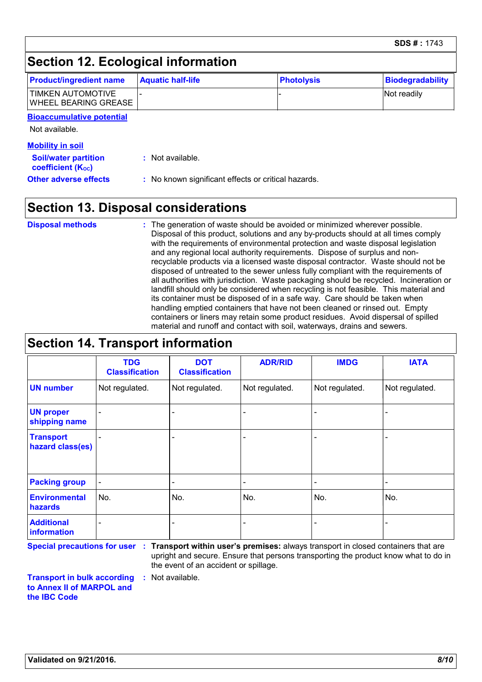|                                           |                          |                   | SDS # : 1743            |
|-------------------------------------------|--------------------------|-------------------|-------------------------|
| Section 12. Ecological information        |                          |                   |                         |
| <b>Product/ingredient name</b>            | <b>Aquatic half-life</b> | <b>Photolysis</b> | <b>Biodegradability</b> |
| TIMKEN AUTOMOTIVE<br>WHEEL BEARING GREASE |                          |                   | Not readily             |
| <b>Bioaccumulative potential</b>          |                          |                   |                         |
| Not available.                            |                          |                   |                         |
| <b>Mobility in soil</b>                   |                          |                   |                         |

| <b>Soil/water partition</b> |  |  |  |
|-----------------------------|--|--|--|
| <b>coefficient (Koc)</b>    |  |  |  |
| Othor advores offorte       |  |  |  |

**:** Not available.

**Other adverse effects :** No known significant effects or critical hazards.

## **Section 13. Disposal considerations**

The generation of waste should be avoided or minimized wherever possible. Disposal of this product, solutions and any by-products should at all times comply with the requirements of environmental protection and waste disposal legislation and any regional local authority requirements. Dispose of surplus and nonrecyclable products via a licensed waste disposal contractor. Waste should not be disposed of untreated to the sewer unless fully compliant with the requirements of all authorities with jurisdiction. Waste packaging should be recycled. Incineration or landfill should only be considered when recycling is not feasible. This material and its container must be disposed of in a safe way. Care should be taken when handling emptied containers that have not been cleaned or rinsed out. Empty containers or liners may retain some product residues. Avoid dispersal of spilled material and runoff and contact with soil, waterways, drains and sewers. **Disposal methods :**

#### **Section 14. Transport information** - - - - - - Not regulated. - - Not regulated. | Not regulated. - - - **ADR/RID IMDG IATA UN number UN proper shipping name Transport hazard class(es) Packing group Additional information Environmental hazards** No. No. No. **DOT Classification** Not regulated. - - No. - **TDG Classification** Not regulated. - - No. -

**Special precautions for user Transport within user's premises:** always transport in closed containers that are **:** upright and secure. Ensure that persons transporting the product know what to do in the event of an accident or spillage.

**Transport in bulk according to Annex II of MARPOL and the IBC Code :** Not available.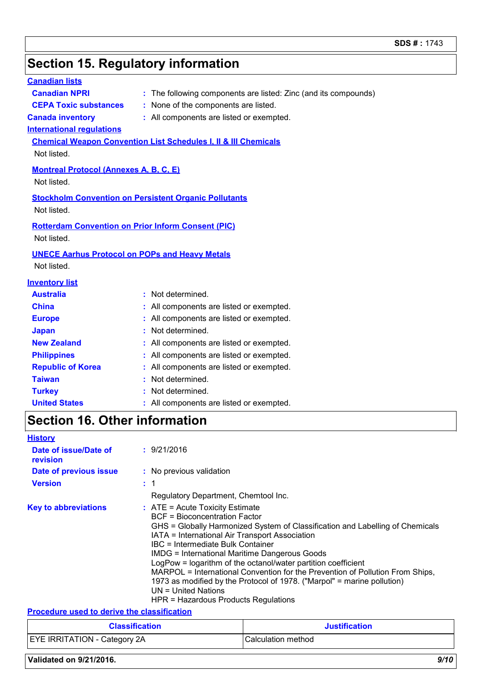### **Section 15. Regulatory information**

#### **International regulations Montreal Protocol (Annexes A, B, C, E)** Not listed. **Stockholm Convention on Persistent Organic Pollutants** Not listed. **Rotterdam Convention on Prior Inform Consent (PIC)** Not listed. **Chemical Weapon Convention List Schedules I, II & III Chemicals** Not listed. **UNECE Aarhus Protocol on POPs and Heavy Metals** Not listed. **Inventory list Australia :** Not determined. **Canada inventory :** All components are listed or exempted. **China :** All components are listed or exempted. **Europe :** All components are listed or exempted. **Japan :** Not determined. **Republic of Korea :** All components are listed or exempted. **New Zealand :** All components are listed or exempted. **Philippines :** All components are listed or exempted. **Taiwan :** Not determined. **United States :** All components are listed or exempted. **Canadian lists Canadian NPRI :** The following components are listed: Zinc (and its compounds) **CEPA Toxic substances :** None of the components are listed. **Turkey :** Not determined. **Section 16. Other information History Date of issue/Date of revision :** 9/21/2016

| Date of previous issue      | : No previous validation                                                                                                                                                                                                                                                                                                                                                                                                                                                                                                                                                                |
|-----------------------------|-----------------------------------------------------------------------------------------------------------------------------------------------------------------------------------------------------------------------------------------------------------------------------------------------------------------------------------------------------------------------------------------------------------------------------------------------------------------------------------------------------------------------------------------------------------------------------------------|
| <b>Version</b>              | : 1                                                                                                                                                                                                                                                                                                                                                                                                                                                                                                                                                                                     |
|                             | Regulatory Department, Chemtool Inc.                                                                                                                                                                                                                                                                                                                                                                                                                                                                                                                                                    |
| <b>Key to abbreviations</b> | $:$ ATE = Acute Toxicity Estimate<br>BCF = Bioconcentration Factor<br>GHS = Globally Harmonized System of Classification and Labelling of Chemicals<br>IATA = International Air Transport Association<br>IBC = Intermediate Bulk Container<br>IMDG = International Maritime Dangerous Goods<br>LogPow = logarithm of the octanol/water partition coefficient<br>MARPOL = International Convention for the Prevention of Pollution From Ships,<br>1973 as modified by the Protocol of 1978. ("Marpol" = marine pollution)<br>UN = United Nations<br>HPR = Hazardous Products Regulations |

#### **Procedure used to derive the classification**

| <b>Classification</b>               | <b>Justification</b>      |  |
|-------------------------------------|---------------------------|--|
| <b>EYE IRRITATION - Category 2A</b> | <b>Calculation method</b> |  |

#### **Validated on 9/21/2016.** *9/10*